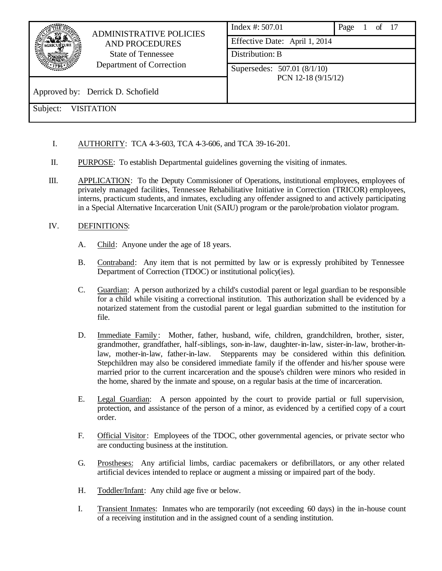|                                                                                | <b>ADMINISTRATIVE POLICIES</b>                     | Index #: 507.01 | Page $1$ of $17$ |  |
|--------------------------------------------------------------------------------|----------------------------------------------------|-----------------|------------------|--|
| <b>AND PROCEDURES</b><br><b>State of Tennessee</b><br>Department of Correction | Effective Date: April 1, 2014                      |                 |                  |  |
|                                                                                | Distribution: B                                    |                 |                  |  |
|                                                                                | Supersedes: 507.01 (8/1/10)<br>PCN 12-18 (9/15/12) |                 |                  |  |
| Approved by: Derrick D. Schofield                                              |                                                    |                 |                  |  |
| Subject:<br><b>VISITATION</b>                                                  |                                                    |                 |                  |  |

- I. AUTHORITY: TCA 4-3-603, TCA 4-3-606, and TCA 39-16-201.
- II. PURPOSE: To establish Departmental guidelines governing the visiting of inmates.
- III. APPLICATION: To the Deputy Commissioner of Operations, institutional employees, employees of privately managed facilities, Tennessee Rehabilitative Initiative in Correction (TRICOR) employees, interns, practicum students, and inmates, excluding any offender assigned to and actively participating in a Special Alternative Incarceration Unit (SAIU) program or the parole/probation violator program.

## IV. DEFINITIONS:

- A. Child: Anyone under the age of 18 years.
- B. Contraband: Any item that is not permitted by law or is expressly prohibited by Tennessee Department of Correction (TDOC) or institutional policy(ies).
- C. Guardian: A person authorized by a child's custodial parent or legal guardian to be responsible for a child while visiting a correctional institution. This authorization shall be evidenced by a notarized statement from the custodial parent or legal guardian submitted to the institution for file.
- D. Immediate Family: Mother, father, husband, wife, children, grandchildren, brother, sister, grandmother, grandfather, half-siblings, son-in-law, daughter-in-law, sister-in-law, brother-inlaw, mother-in-law, father-in-law. Stepparents may be considered within this definition. Stepchildren may also be considered immediate family if the offender and his/her spouse were married prior to the current incarceration and the spouse's children were minors who resided in the home, shared by the inmate and spouse, on a regular basis at the time of incarceration.
- E. Legal Guardian: A person appointed by the court to provide partial or full supervision, protection, and assistance of the person of a minor, as evidenced by a certified copy of a court order.
- F. Official Visitor: Employees of the TDOC, other governmental agencies, or private sector who are conducting business at the institution.
- G. Prostheses: Any artificial limbs, cardiac pacemakers or defibrillators, or any other related artificial devices intended to replace or augment a missing or impaired part of the body.
- H. Toddler/Infant: Any child age five or below.
- I. Transient Inmates: Inmates who are temporarily (not exceeding 60 days) in the in-house count of a receiving institution and in the assigned count of a sending institution.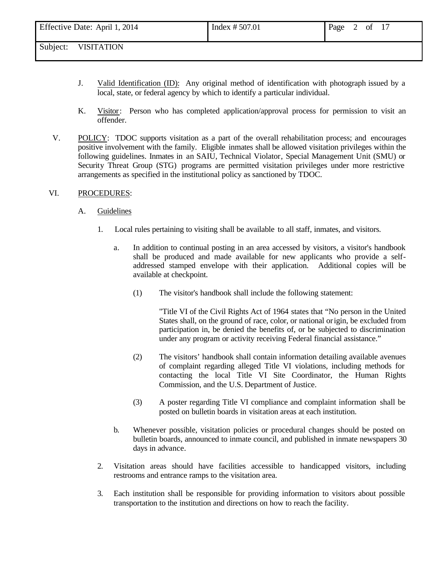- J. Valid Identification (ID): Any original method of identification with photograph issued by a local, state, or federal agency by which to identify a particular individual.
- K. Visitor: Person who has completed application/approval process for permission to visit an offender.
- V. POLICY: TDOC supports visitation as a part of the overall rehabilitation process; and encourages positive involvement with the family. Eligible inmates shall be allowed visitation privileges within the following guidelines. Inmates in an SAIU, Technical Violator, Special Management Unit (SMU) or Security Threat Group (STG) programs are permitted visitation privileges under more restrictive arrangements as specified in the institutional policy as sanctioned by TDOC.

#### VI. PROCEDURES:

#### A. Guidelines

- 1. Local rules pertaining to visiting shall be available to all staff, inmates, and visitors.
	- a. In addition to continual posting in an area accessed by visitors, a visitor's handbook shall be produced and made available for new applicants who provide a selfaddressed stamped envelope with their application. Additional copies will be available at checkpoint.
		- (1) The visitor's handbook shall include the following statement:

"Title VI of the Civil Rights Act of 1964 states that "No person in the United States shall, on the ground of race, color, or national origin, be excluded from participation in, be denied the benefits of, or be subjected to discrimination under any program or activity receiving Federal financial assistance."

- (2) The visitors' handbook shall contain information detailing available avenues of complaint regarding alleged Title VI violations, including methods for contacting the local Title VI Site Coordinator, the Human Rights Commission, and the U.S. Department of Justice.
- (3) A poster regarding Title VI compliance and complaint information shall be posted on bulletin boards in visitation areas at each institution.
- b. Whenever possible, visitation policies or procedural changes should be posted on bulletin boards, announced to inmate council, and published in inmate newspapers 30 days in advance.
- 2. Visitation areas should have facilities accessible to handicapped visitors, including restrooms and entrance ramps to the visitation area.
- 3. Each institution shall be responsible for providing information to visitors about possible transportation to the institution and directions on how to reach the facility.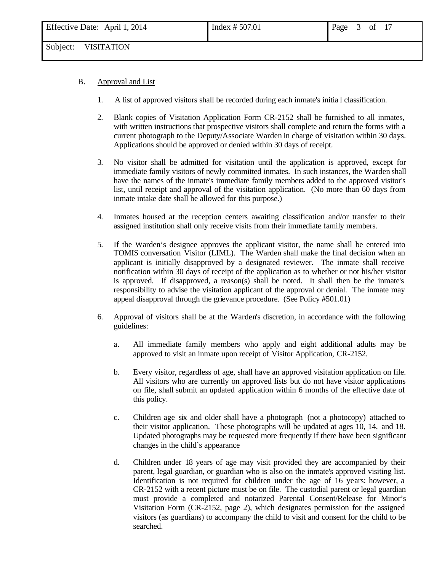- B. Approval and List
	- 1. A list of approved visitors shall be recorded during each inmate's initia l classification.
	- 2. Blank copies of Visitation Application Form CR-2152 shall be furnished to all inmates, with written instructions that prospective visitors shall complete and return the forms with a current photograph to the Deputy/Associate Warden in charge of visitation within 30 days. Applications should be approved or denied within 30 days of receipt.
	- 3. No visitor shall be admitted for visitation until the application is approved, except for immediate family visitors of newly committed inmates. In such instances, the Warden shall have the names of the inmate's immediate family members added to the approved visitor's list, until receipt and approval of the visitation application. (No more than 60 days from inmate intake date shall be allowed for this purpose.)
	- 4. Inmates housed at the reception centers awaiting classification and/or transfer to their assigned institution shall only receive visits from their immediate family members.
	- 5. If the Warden's designee approves the applicant visitor, the name shall be entered into TOMIS conversation Visitor (LIML). The Warden shall make the final decision when an applicant is initially disapproved by a designated reviewer. The inmate shall receive notification within 30 days of receipt of the application as to whether or not his/her visitor is approved. If disapproved, a reason(s) shall be noted. It shall then be the inmate's responsibility to advise the visitation applicant of the approval or denial. The inmate may appeal disapproval through the grievance procedure. (See Policy #501.01)
	- 6. Approval of visitors shall be at the Warden's discretion, in accordance with the following guidelines:
		- a. All immediate family members who apply and eight additional adults may be approved to visit an inmate upon receipt of Visitor Application, CR-2152.
		- b. Every visitor, regardless of age, shall have an approved visitation application on file. All visitors who are currently on approved lists but do not have visitor applications on file, shall submit an updated application within 6 months of the effective date of this policy.
		- c. Children age six and older shall have a photograph (not a photocopy) attached to their visitor application. These photographs will be updated at ages 10, 14, and 18. Updated photographs may be requested more frequently if there have been significant changes in the child's appearance
		- d. Children under 18 years of age may visit provided they are accompanied by their parent, legal guardian, or guardian who is also on the inmate's approved visiting list. Identification is not required for children under the age of 16 years: however, a CR-2152 with a recent picture must be on file. The custodial parent or legal guardian must provide a completed and notarized Parental Consent/Release for Minor's Visitation Form (CR-2152, page 2), which designates permission for the assigned visitors (as guardians) to accompany the child to visit and consent for the child to be searched.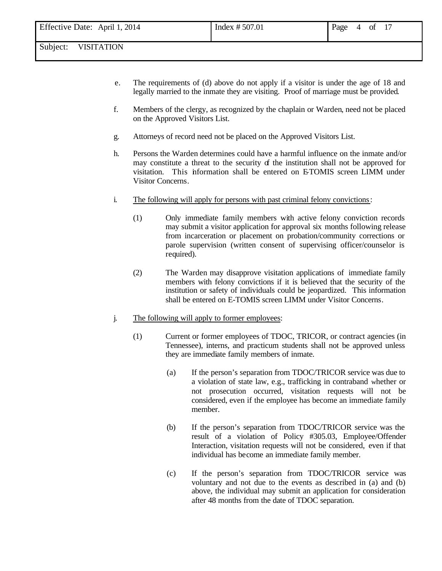- e. The requirements of (d) above do not apply if a visitor is under the age of 18 and legally married to the inmate they are visiting. Proof of marriage must be provided.
- f. Members of the clergy, as recognized by the chaplain or Warden, need not be placed on the Approved Visitors List.
- g. Attorneys of record need not be placed on the Approved Visitors List.
- h. Persons the Warden determines could have a harmful influence on the inmate and/or may constitute a threat to the security of the institution shall not be approved for visitation. This information shall be entered on ETOMIS screen LIMM under Visitor Concerns.
- i. The following will apply for persons with past criminal felony convictions:
	- (1) Only immediate family members with active felony conviction records may submit a visitor application for approval six months following release from incarceration or placement on probation/community corrections or parole supervision (written consent of supervising officer/counselor is required).
	- (2) The Warden may disapprove visitation applications of immediate family members with felony convictions if it is believed that the security of the institution or safety of individuals could be jeopardized. This information shall be entered on E-TOMIS screen LIMM under Visitor Concerns.
- j. The following will apply to former employees:
	- (1) Current or former employees of TDOC, TRICOR, or contract agencies (in Tennessee), interns, and practicum students shall not be approved unless they are immediate family members of inmate.
		- (a) If the person's separation from TDOC/TRICOR service was due to a violation of state law, e.g., trafficking in contraband whether or not prosecution occurred, visitation requests will not be considered, even if the employee has become an immediate family member.
		- (b) If the person's separation from TDOC/TRICOR service was the result of a violation of Policy #305.03, Employee/Offender Interaction, visitation requests will not be considered, even if that individual has become an immediate family member.
		- (c) If the person's separation from TDOC/TRICOR service was voluntary and not due to the events as described in (a) and (b) above, the individual may submit an application for consideration after 48 months from the date of TDOC separation.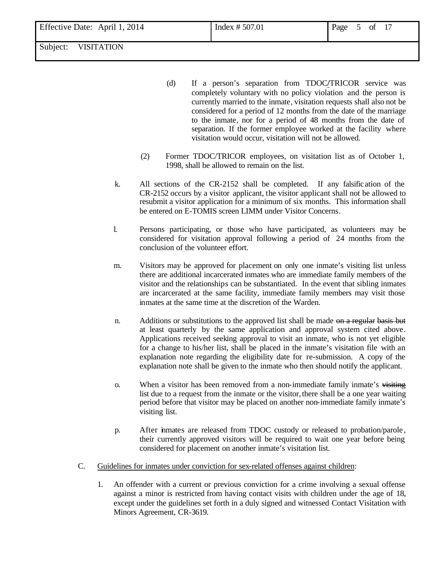- (d) If a person's separation from TDOC**/**TRICOR service was completely voluntary with no policy violation and the person is currently married to the inmate, visitation requests shall also not be considered for a period of 12 months from the date of the marriage to the inmate, nor for a period of 48 months from the date of separation. If the former employee worked at the facility where visitation would occur, visitation will not be allowed.
- (2) Former TDOC/TRICOR employees, on visitation list as of October 1, 1998, shall be allowed to remain on the list.
- k. All sections of the CR-2152 shall be completed. If any falsification of the CR-2152 occurs by a visitor applicant, the visitor applicant shall not be allowed to resubmit a visitor application for a minimum of six months. This information shall be entered on E-TOMIS screen LIMM under Visitor Concerns.
- l. Persons participating, or those who have participated, as volunteers may be considered for visitation approval following a period of 24 months from the conclusion of the volunteer effort.
- m. Visitors may be approved for placement on only one inmate's visiting list unless there are additional incarcerated inmates who are immediate family members of the visitor and the relationships can be substantiated. In the event that sibling inmates are incarcerated at the same facility, immediate family members may visit those inmates at the same time at the discretion of the Warden.
- n. Additions or substitutions to the approved list shall be made on a regular basis but at least quarterly by the same application and approval system cited above. Applications received seeking approval to visit an inmate, who is not yet eligible for a change to his/her list, shall be placed in the inmate's visitation file with an explanation note regarding the eligibility date for re-submission. A copy of the explanation note shall be given to the inmate who then should notify the applicant.
- o. When a visitor has been removed from a non-immediate family inmate's visiting list due to a request from the inmate or the visitor, there shall be a one year waiting period before that visitor may be placed on another non-immediate family inmate's visiting list.
- p. After inmates are released from TDOC custody or released to probation/parole , their currently approved visitors will be required to wait one year before being considered for placement on another inmate's visitation list.
- C. Guidelines for inmates under conviction for sex-related offenses against children:
	- 1. An offender with a current or previous conviction for a crime involving a sexual offense against a minor is restricted from having contact visits with children under the age of 18, except under the guidelines set forth in a duly signed and witnessed Contact Visitation with Minors Agreement, CR-3619.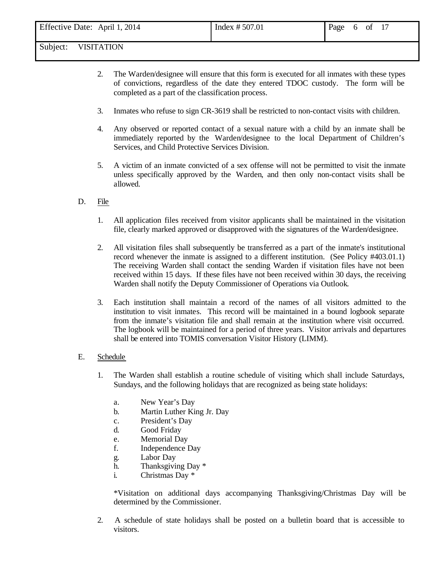- 2. The Warden/designee will ensure that this form is executed for all inmates with these types of convictions, regardless of the date they entered TDOC custody. The form will be completed as a part of the classification process.
- 3. Inmates who refuse to sign CR-3619 shall be restricted to non-contact visits with children.
- 4. Any observed or reported contact of a sexual nature with a child by an inmate shall be immediately reported by the Warden/designee to the local Department of Children's Services, and Child Protective Services Division.
- 5. A victim of an inmate convicted of a sex offense will not be permitted to visit the inmate unless specifically approved by the Warden, and then only non-contact visits shall be allowed.
- D. File
	- 1. All application files received from visitor applicants shall be maintained in the visitation file, clearly marked approved or disapproved with the signatures of the Warden/designee.
	- 2. All visitation files shall subsequently be transferred as a part of the inmate's institutional record whenever the inmate is assigned to a different institution. (See Policy #403.01.1) The receiving Warden shall contact the sending Warden if visitation files have not been received within 15 days. If these files have not been received within 30 days, the receiving Warden shall notify the Deputy Commissioner of Operations via Outlook.
	- 3. Each institution shall maintain a record of the names of all visitors admitted to the institution to visit inmates. This record will be maintained in a bound logbook separate from the inmate's visitation file and shall remain at the institution where visit occurred. The logbook will be maintained for a period of three years. Visitor arrivals and departures shall be entered into TOMIS conversation Visitor History (LIMM).

#### E. Schedule

- 1. The Warden shall establish a routine schedule of visiting which shall include Saturdays, Sundays, and the following holidays that are recognized as being state holidays:
	- a. New Year's Day
	- b. Martin Luther King Jr. Day
	- c. President's Day
	- d. Good Friday
	- e. Memorial Day
	- f. Independence Day
	- g. Labor Day
	- h. Thanksgiving Day \*
	- i. Christmas Day \*

\*Visitation on additional days accompanying Thanksgiving/Christmas Day will be determined by the Commissioner.

2. A schedule of state holidays shall be posted on a bulletin board that is accessible to visitors.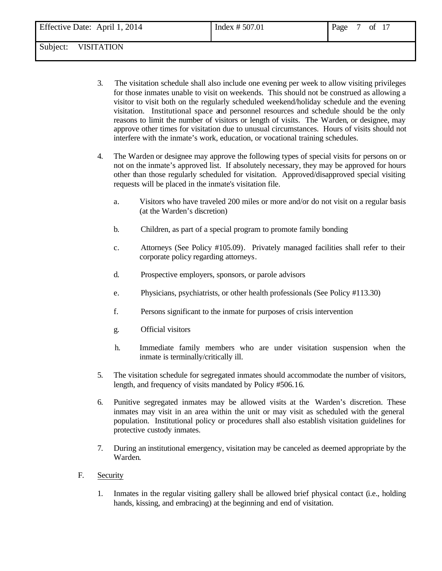- 3. The visitation schedule shall also include one evening per week to allow visiting privileges for those inmates unable to visit on weekends. This should not be construed as allowing a visitor to visit both on the regularly scheduled weekend/holiday schedule and the evening visitation. Institutional space and personnel resources and schedule should be the only reasons to limit the number of visitors or length of visits. The Warden, or designee, may approve other times for visitation due to unusual circumstances. Hours of visits should not interfere with the inmate's work, education, or vocational training schedules.
- 4. The Warden or designee may approve the following types of special visits for persons on or not on the inmate's approved list. If absolutely necessary, they may be approved for hours other than those regularly scheduled for visitation. Approved/disapproved special visiting requests will be placed in the inmate's visitation file.
	- a. Visitors who have traveled 200 miles or more and/or do not visit on a regular basis (at the Warden's discretion)
	- b. Children, as part of a special program to promote family bonding
	- c. Attorneys (See Policy #105.09). Privately managed facilities shall refer to their corporate policy regarding attorneys.
	- d. Prospective employers, sponsors, or parole advisors
	- e. Physicians, psychiatrists, or other health professionals (See Policy #113.30)
	- f. Persons significant to the inmate for purposes of crisis intervention
	- g. Official visitors
	- h. Immediate family members who are under visitation suspension when the inmate is terminally/critically ill.
- 5. The visitation schedule for segregated inmates should accommodate the number of visitors, length, and frequency of visits mandated by Policy #506.16.
- 6. Punitive segregated inmates may be allowed visits at the Warden's discretion. These inmates may visit in an area within the unit or may visit as scheduled with the general population. Institutional policy or procedures shall also establish visitation guidelines for protective custody inmates.
- 7. During an institutional emergency, visitation may be canceled as deemed appropriate by the Warden.
- F. Security
	- 1. Inmates in the regular visiting gallery shall be allowed brief physical contact (i.e., holding hands, kissing, and embracing) at the beginning and end of visitation.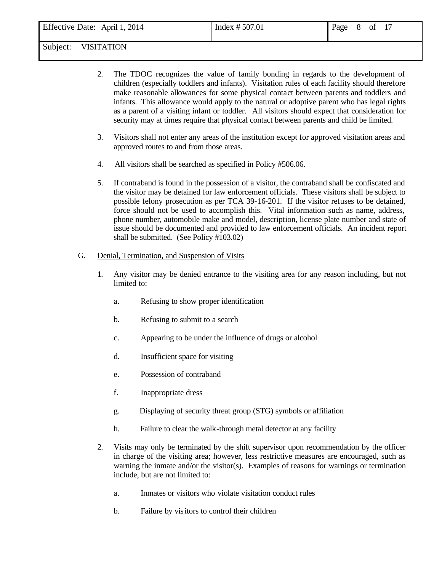- 2. The TDOC recognizes the value of family bonding in regards to the development of children (especially toddlers and infants). Visitation rules of each facility should therefore make reasonable allowances for some physical contact between parents and toddlers and infants. This allowance would apply to the natural or adoptive parent who has legal rights as a parent of a visiting infant or toddler. All visitors should expect that consideration for security may at times require that physical contact between parents and child be limited.
- 3. Visitors shall not enter any areas of the institution except for approved visitation areas and approved routes to and from those areas.
- 4. All visitors shall be searched as specified in Policy #506.06.
- 5. If contraband is found in the possession of a visitor, the contraband shall be confiscated and the visitor may be detained for law enforcement officials. These visitors shall be subject to possible felony prosecution as per TCA 39-16-201. If the visitor refuses to be detained, force should not be used to accomplish this. Vital information such as name, address, phone number, automobile make and model, description, license plate number and state of issue should be documented and provided to law enforcement officials. An incident report shall be submitted. (See Policy #103.02)

## G. Denial, Termination, and Suspension of Visits

- 1. Any visitor may be denied entrance to the visiting area for any reason including, but not limited to:
	- a. Refusing to show proper identification
	- b. Refusing to submit to a search
	- c. Appearing to be under the influence of drugs or alcohol
	- d. Insufficient space for visiting
	- e. Possession of contraband
	- f. Inappropriate dress
	- g. Displaying of security threat group (STG) symbols or affiliation
	- h. Failure to clear the walk-through metal detector at any facility
- 2. Visits may only be terminated by the shift supervisor upon recommendation by the officer in charge of the visiting area; however, less restrictive measures are encouraged, such as warning the inmate and/or the visitor(s). Examples of reasons for warnings or termination include, but are not limited to:
	- a. Inmates or visitors who violate visitation conduct rules
	- b. Failure by visitors to control their children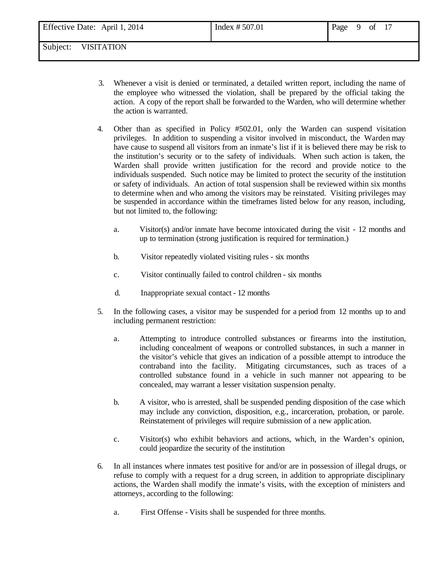| Effective Date: April 1, 2014 | Index $# 507.01$ | Page 9 of 17 |  |  |
|-------------------------------|------------------|--------------|--|--|
|                               |                  |              |  |  |

- 3. Whenever a visit is denied or terminated, a detailed written report, including the name of the employee who witnessed the violation, shall be prepared by the official taking the action. A copy of the report shall be forwarded to the Warden, who will determine whether the action is warranted.
- 4. Other than as specified in Policy #502.01, only the Warden can suspend visitation privileges. In addition to suspending a visitor involved in misconduct, the Warden may have cause to suspend all visitors from an inmate's list if it is believed there may be risk to the institution's security or to the safety of individuals. When such action is taken, the Warden shall provide written justification for the record and provide notice to the individuals suspended. Such notice may be limited to protect the security of the institution or safety of individuals. An action of total suspension shall be reviewed within six months to determine when and who among the visitors may be reinstated. Visiting privileges may be suspended in accordance within the timeframes listed below for any reason, including, but not limited to, the following:
	- a. Visitor(s) and/or inmate have become intoxicated during the visit 12 months and up to termination (strong justification is required for termination.)
	- b. Visitor repeatedly violated visiting rules six months
	- c. Visitor continually failed to control children six months
	- d. Inappropriate sexual contact 12 months
- 5. In the following cases, a visitor may be suspended for a period from 12 months up to and including permanent restriction:
	- a. Attempting to introduce controlled substances or firearms into the institution, including concealment of weapons or controlled substances, in such a manner in the visitor's vehicle that gives an indication of a possible attempt to introduce the contraband into the facility. Mitigating circumstances, such as traces of a controlled substance found in a vehicle in such manner not appearing to be concealed, may warrant a lesser visitation suspension penalty.
	- b. A visitor, who is arrested, shall be suspended pending disposition of the case which may include any conviction, disposition, e.g., incarceration, probation, or parole. Reinstatement of privileges will require submission of a new applic ation.
	- c. Visitor(s) who exhibit behaviors and actions, which, in the Warden's opinion, could jeopardize the security of the institution
- 6. In all instances where inmates test positive for and/or are in possession of illegal drugs, or refuse to comply with a request for a drug screen, in addition to appropriate disciplinary actions, the Warden shall modify the inmate's visits, with the exception of ministers and attorneys, according to the following:
	- a. First Offense Visits shall be suspended for three months.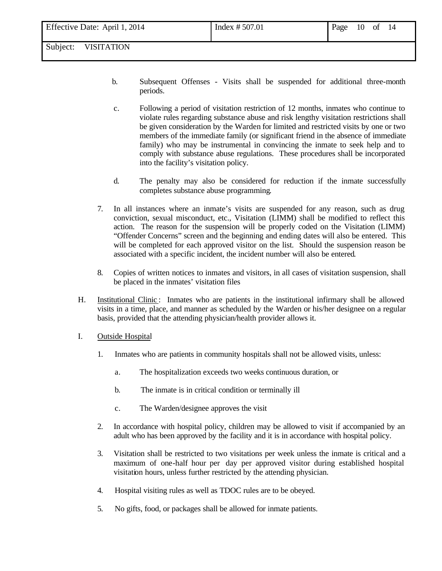| 10 of 14 | Effective Date: April 1, 2014 | Index $# 507.01$ | Page |  |  |  |  |
|----------|-------------------------------|------------------|------|--|--|--|--|
|----------|-------------------------------|------------------|------|--|--|--|--|

- b. Subsequent Offenses Visits shall be suspended for additional three-month periods.
- c. Following a period of visitation restriction of 12 months, inmates who continue to violate rules regarding substance abuse and risk lengthy visitation restrictions shall be given consideration by the Warden for limited and restricted visits by one or two members of the immediate family (or significant friend in the absence of immediate family) who may be instrumental in convincing the inmate to seek help and to comply with substance abuse regulations. These procedures shall be incorporated into the facility's visitation policy.
- d. The penalty may also be considered for reduction if the inmate successfully completes substance abuse programming.
- 7. In all instances where an inmate's visits are suspended for any reason, such as drug conviction, sexual misconduct, etc., Visitation (LIMM) shall be modified to reflect this action. The reason for the suspension will be properly coded on the Visitation (LIMM) "Offender Concerns" screen and the beginning and ending dates will also be entered. This will be completed for each approved visitor on the list. Should the suspension reason be associated with a specific incident, the incident number will also be entered.
- 8. Copies of written notices to inmates and visitors, in all cases of visitation suspension, shall be placed in the inmates' visitation files
- H. Institutional Clinic : Inmates who are patients in the institutional infirmary shall be allowed visits in a time, place, and manner as scheduled by the Warden or his/her designee on a regular basis, provided that the attending physician/health provider allows it.
- I. Outside Hospital
	- 1. Inmates who are patients in community hospitals shall not be allowed visits, unless:
		- a. The hospitalization exceeds two weeks continuous duration, or
		- b. The inmate is in critical condition or terminally ill
		- c. The Warden/designee approves the visit
	- 2. In accordance with hospital policy, children may be allowed to visit if accompanied by an adult who has been approved by the facility and it is in accordance with hospital policy.
	- 3. Visitation shall be restricted to two visitations per week unless the inmate is critical and a maximum of one-half hour per day per approved visitor during established hospital visitation hours, unless further restricted by the attending physician.
	- 4. Hospital visiting rules as well as TDOC rules are to be obeyed.
	- 5. No gifts, food, or packages shall be allowed for inmate patients.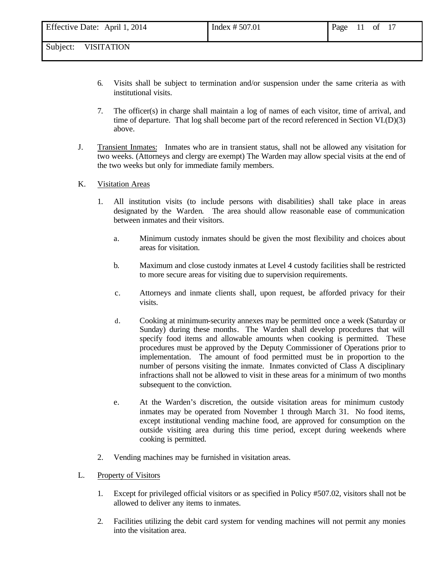- 6. Visits shall be subject to termination and/or suspension under the same criteria as with institutional visits.
- 7. The officer(s) in charge shall maintain a log of names of each visitor, time of arrival, and time of departure. That log shall become part of the record referenced in Section VI.(D)(3) above.
- J. Transient Inmates: Inmates who are in transient status, shall not be allowed any visitation for two weeks. (Attorneys and clergy are exempt) The Warden may allow special visits at the end of the two weeks but only for immediate family members.

### K. Visitation Areas

- 1. All institution visits (to include persons with disabilities) shall take place in areas designated by the Warden. The area should allow reasonable ease of communication between inmates and their visitors.
	- a. Minimum custody inmates should be given the most flexibility and choices about areas for visitation.
	- b. Maximum and close custody inmates at Level 4 custody facilities shall be restricted to more secure areas for visiting due to supervision requirements.
	- c. Attorneys and inmate clients shall, upon request, be afforded privacy for their visits.
	- d. Cooking at minimum-security annexes may be permitted once a week (Saturday or Sunday) during these months. The Warden shall develop procedures that will specify food items and allowable amounts when cooking is permitted. These procedures must be approved by the Deputy Commissioner of Operations prior to implementation. The amount of food permitted must be in proportion to the number of persons visiting the inmate. Inmates convicted of Class A disciplinary infractions shall not be allowed to visit in these areas for a minimum of two months subsequent to the conviction.
	- e. At the Warden's discretion, the outside visitation areas for minimum custody inmates may be operated from November 1 through March 31. No food items, except institutional vending machine food, are approved for consumption on the outside visiting area during this time period, except during weekends where cooking is permitted.
- 2. Vending machines may be furnished in visitation areas.
- L. Property of Visitors
	- 1. Except for privileged official visitors or as specified in Policy #507.02, visitors shall not be allowed to deliver any items to inmates.
	- 2. Facilities utilizing the debit card system for vending machines will not permit any monies into the visitation area.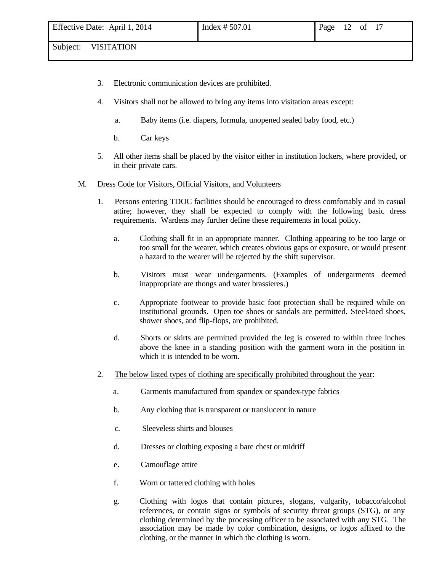- 3. Electronic communication devices are prohibited.
- 4. Visitors shall not be allowed to bring any items into visitation areas except:
	- a. Baby items (i.e. diapers, formula, unopened sealed baby food, etc.)
	- b. Car keys
- 5. All other items shall be placed by the visitor either in institution lockers, where provided, or in their private cars.

#### M. Dress Code for Visitors, Official Visitors, and Volunteers

- 1. Persons entering TDOC facilities should be encouraged to dress comfortably and in casual attire; however, they shall be expected to comply with the following basic dress requirements. Wardens may further define these requirements in local policy.
	- a. Clothing shall fit in an appropriate manner. Clothing appearing to be too large or too small for the wearer, which creates obvious gaps or exposure, or would present a hazard to the wearer will be rejected by the shift supervisor.
	- b. Visitors must wear undergarments. (Examples of undergarments deemed inappropriate are thongs and water brassieres.)
	- c. Appropriate footwear to provide basic foot protection shall be required while on institutional grounds. Open toe shoes or sandals are permitted. Steel-toed shoes, shower shoes, and flip-flops, are prohibited.
	- d. Shorts or skirts are permitted provided the leg is covered to within three inches above the knee in a standing position with the garment worn in the position in which it is intended to be worn.
- 2. The below listed types of clothing are specifically prohibited throughout the year:
	- a. Garments manufactured from spandex or spandex-type fabrics
	- b. Any clothing that is transparent or translucent in nature
	- c. Sleeveless shirts and blouses
	- d. Dresses or clothing exposing a bare chest or midriff
	- e. Camouflage attire
	- f. Worn or tattered clothing with holes
	- g. Clothing with logos that contain pictures, slogans, vulgarity, tobacco/alcohol references, or contain signs or symbols of security threat groups (STG), or any clothing determined by the processing officer to be associated with any STG. The association may be made by color combination, designs, or logos affixed to the clothing, or the manner in which the clothing is worn.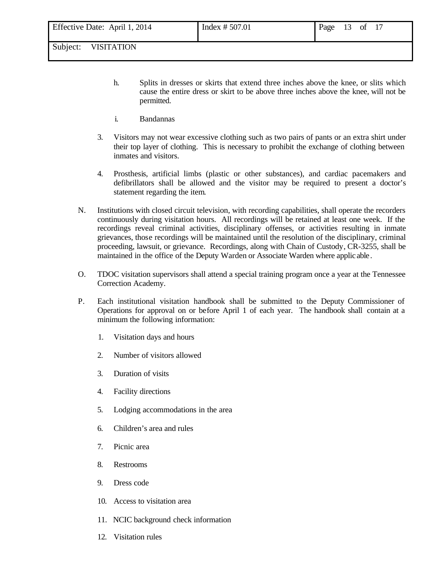- h. Splits in dresses or skirts that extend three inches above the knee, or slits which cause the entire dress or skirt to be above three inches above the knee, will not be permitted.
- i. Bandannas
- 3. Visitors may not wear excessive clothing such as two pairs of pants or an extra shirt under their top layer of clothing. This is necessary to prohibit the exchange of clothing between inmates and visitors.
- 4. Prosthesis, artificial limbs (plastic or other substances), and cardiac pacemakers and defibrillators shall be allowed and the visitor may be required to present a doctor's statement regarding the item.
- N. Institutions with closed circuit television, with recording capabilities, shall operate the recorders continuously during visitation hours. All recordings will be retained at least one week. If the recordings reveal criminal activities, disciplinary offenses, or activities resulting in inmate grievances, those recordings will be maintained until the resolution of the disciplinary, criminal proceeding, lawsuit, or grievance. Recordings, along with Chain of Custody, CR-3255, shall be maintained in the office of the Deputy Warden or Associate Warden where applic able.
- O. TDOC visitation supervisors shall attend a special training program once a year at the Tennessee Correction Academy.
- P. Each institutional visitation handbook shall be submitted to the Deputy Commissioner of Operations for approval on or before April 1 of each year. The handbook shall contain at a minimum the following information:
	- 1. Visitation days and hours
	- 2. Number of visitors allowed
	- 3. Duration of visits
	- 4. Facility directions
	- 5. Lodging accommodations in the area
	- 6. Children's area and rules
	- 7. Picnic area
	- 8. Restrooms
	- 9. Dress code
	- 10. Access to visitation area
	- 11. NCIC background check information
	- 12. Visitation rules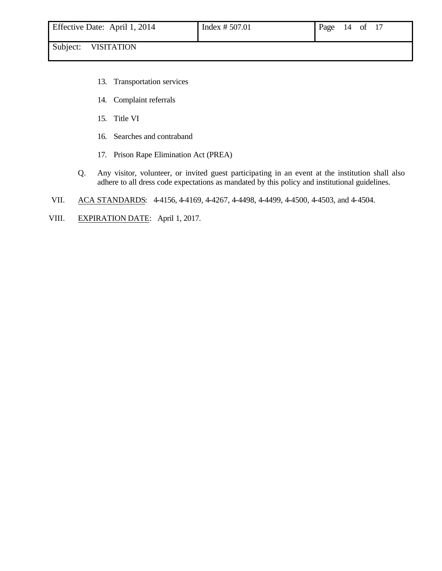- 13. Transportation services
- 14. Complaint referrals
- 15. Title VI
- 16. Searches and contraband
- 17. Prison Rape Elimination Act (PREA)
- Q. Any visitor, volunteer, or invited guest participating in an event at the institution shall also adhere to all dress code expectations as mandated by this policy and institutional guidelines.
- VII. ACA STANDARDS: 4-4156, 4-4169, 4-4267, 4-4498, 4-4499, 4-4500, 4-4503, and 4-4504.
- VIII. EXPIRATION DATE: April 1, 2017.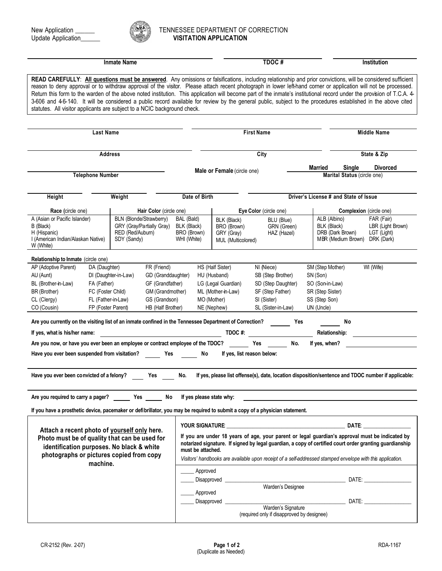

## New Application \_\_\_\_\_\_ TENNESSEE DEPARTMENT OF CORRECTION Update Application\_\_\_\_\_\_ **VISITATION APPLICATION**

| <b>Inmate Name</b>                                                                                                                                                                                                                                                                                                                                                                                                                                                                                                                                                                                                                                                                                                                                     |                                         |                                 |                                                      |                                                         | TDOC#                                                          |                                                                                                                                                                                                                                |          | Institution                                             |                                                                                                                                                                                                                                                                                                                          |  |
|--------------------------------------------------------------------------------------------------------------------------------------------------------------------------------------------------------------------------------------------------------------------------------------------------------------------------------------------------------------------------------------------------------------------------------------------------------------------------------------------------------------------------------------------------------------------------------------------------------------------------------------------------------------------------------------------------------------------------------------------------------|-----------------------------------------|---------------------------------|------------------------------------------------------|---------------------------------------------------------|----------------------------------------------------------------|--------------------------------------------------------------------------------------------------------------------------------------------------------------------------------------------------------------------------------|----------|---------------------------------------------------------|--------------------------------------------------------------------------------------------------------------------------------------------------------------------------------------------------------------------------------------------------------------------------------------------------------------------------|--|
| READ CAREFULLY: All questions must be answered. Any omissions or falsifications, including relationship and prior convictions, will be considered sufficient<br>reason to deny approval or to withdraw approval of the visitor. Please attach recent photograph in lower left-hand corner or application will not be processed.<br>Return this form to the warden of the above noted institution. This application will become part of the inmate's institutional record under the provision of T.C.A. 4-<br>3-606 and 4-6-140. It will be considered a public record available for review by the general public, subject to the procedures established in the above cited<br>statutes. All visitor applicants are subject to a NCIC background check. |                                         |                                 |                                                      |                                                         |                                                                |                                                                                                                                                                                                                                |          |                                                         |                                                                                                                                                                                                                                                                                                                          |  |
|                                                                                                                                                                                                                                                                                                                                                                                                                                                                                                                                                                                                                                                                                                                                                        | <b>Last Name</b>                        |                                 |                                                      |                                                         |                                                                | <b>First Name</b>                                                                                                                                                                                                              |          |                                                         | <b>Middle Name</b>                                                                                                                                                                                                                                                                                                       |  |
|                                                                                                                                                                                                                                                                                                                                                                                                                                                                                                                                                                                                                                                                                                                                                        |                                         | <b>Address</b>                  |                                                      |                                                         |                                                                | City                                                                                                                                                                                                                           |          |                                                         | State & Zip                                                                                                                                                                                                                                                                                                              |  |
|                                                                                                                                                                                                                                                                                                                                                                                                                                                                                                                                                                                                                                                                                                                                                        | <b>Telephone Number</b>                 |                                 |                                                      |                                                         | Male or Female (circle one)                                    |                                                                                                                                                                                                                                |          | <b>Married</b><br>Single<br>Marital Status (circle one) | <b>Divorced</b>                                                                                                                                                                                                                                                                                                          |  |
|                                                                                                                                                                                                                                                                                                                                                                                                                                                                                                                                                                                                                                                                                                                                                        |                                         |                                 |                                                      |                                                         |                                                                |                                                                                                                                                                                                                                |          |                                                         |                                                                                                                                                                                                                                                                                                                          |  |
| Height                                                                                                                                                                                                                                                                                                                                                                                                                                                                                                                                                                                                                                                                                                                                                 |                                         | Weight                          |                                                      | Date of Birth                                           |                                                                |                                                                                                                                                                                                                                |          | Driver's License # and State of Issue                   |                                                                                                                                                                                                                                                                                                                          |  |
| Race (circle one)                                                                                                                                                                                                                                                                                                                                                                                                                                                                                                                                                                                                                                                                                                                                      |                                         |                                 | Hair Color (circle one)                              |                                                         |                                                                | Eye Color (circle one)                                                                                                                                                                                                         |          |                                                         | <b>Complexion</b> (circle one)                                                                                                                                                                                                                                                                                           |  |
| A (Asian or Pacific Islander)<br>B (Black)<br>H (Hispanic)<br>I (American Indian/Alaskan Native)<br>W (White)                                                                                                                                                                                                                                                                                                                                                                                                                                                                                                                                                                                                                                          |                                         | RED (Red/Auburn)<br>SDY (Sandy) | BLN (Blonde/Strawberry)<br>GRY (Gray/Partially Gray) | BAL (Bald)<br>BLK (Black)<br>BRO (Brown)<br>WHI (White) | BLK (Black)<br>BRO (Brown)<br>GRY (Gray)<br>MUL (Multicolored) | BLU (Blue)<br>GRN (Green)<br>HAZ (Hazel)                                                                                                                                                                                       |          | ALB (Albino)<br>BLK (Black)<br>DRB (Dark Brown)         | FAR (Fair)<br>LBR (Light Brown)<br>LGT (Light)<br>MBR (Medium Brown) DRK (Dark)                                                                                                                                                                                                                                          |  |
| <b>Relationship to Inmate</b> (circle one)                                                                                                                                                                                                                                                                                                                                                                                                                                                                                                                                                                                                                                                                                                             |                                         |                                 |                                                      |                                                         |                                                                |                                                                                                                                                                                                                                |          |                                                         |                                                                                                                                                                                                                                                                                                                          |  |
| AP (Adoptive Parent)                                                                                                                                                                                                                                                                                                                                                                                                                                                                                                                                                                                                                                                                                                                                   | DA (Daughter)                           |                                 | FR (Friend)                                          |                                                         | HS (Half Sister)                                               | NI (Niece)                                                                                                                                                                                                                     |          | SM (Step Mother)                                        | WI (Wife)                                                                                                                                                                                                                                                                                                                |  |
| AU (Aunt)                                                                                                                                                                                                                                                                                                                                                                                                                                                                                                                                                                                                                                                                                                                                              |                                         | DI (Daughter-in-Law)            | GD (Granddaughter)                                   |                                                         | HU (Husband)                                                   | SB (Step Brother)                                                                                                                                                                                                              | SN (Son) |                                                         |                                                                                                                                                                                                                                                                                                                          |  |
| BL (Brother-in-Law)                                                                                                                                                                                                                                                                                                                                                                                                                                                                                                                                                                                                                                                                                                                                    | FA (Father)                             |                                 | GF (Grandfather)                                     |                                                         | LG (Legal Guardian)                                            | SD (Step Daughter)                                                                                                                                                                                                             |          | SO (Son-in-Law)                                         |                                                                                                                                                                                                                                                                                                                          |  |
| BR (Brother)<br>CL (Clergy)                                                                                                                                                                                                                                                                                                                                                                                                                                                                                                                                                                                                                                                                                                                            | FC (Foster Child)<br>FL (Father-in-Law) |                                 | GM (Grandmother)<br>GS (Grandson)                    |                                                         | ML (Mother-in-Law)<br>MO (Mother)                              | SF (Step Father)<br>SI (Sister)                                                                                                                                                                                                |          | SR (Step Sister)<br>SS (Step Son)                       |                                                                                                                                                                                                                                                                                                                          |  |
| CO (Cousin)                                                                                                                                                                                                                                                                                                                                                                                                                                                                                                                                                                                                                                                                                                                                            | FP (Foster Parent)                      |                                 | HB (Half Brother)                                    |                                                         | NE (Nephew)                                                    | SL (Sister-in-Law)                                                                                                                                                                                                             |          | UN (Uncle)                                              |                                                                                                                                                                                                                                                                                                                          |  |
| Are you currently on the visiting list of an inmate confined in the Tennessee Department of Correction? Yes                                                                                                                                                                                                                                                                                                                                                                                                                                                                                                                                                                                                                                            |                                         |                                 |                                                      |                                                         |                                                                |                                                                                                                                                                                                                                |          | No                                                      |                                                                                                                                                                                                                                                                                                                          |  |
| If yes, what is his/her name:                                                                                                                                                                                                                                                                                                                                                                                                                                                                                                                                                                                                                                                                                                                          |                                         |                                 |                                                      |                                                         | TDOC #:                                                        |                                                                                                                                                                                                                                |          |                                                         |                                                                                                                                                                                                                                                                                                                          |  |
|                                                                                                                                                                                                                                                                                                                                                                                                                                                                                                                                                                                                                                                                                                                                                        |                                         |                                 |                                                      |                                                         |                                                                |                                                                                                                                                                                                                                |          | If yes, when?                                           |                                                                                                                                                                                                                                                                                                                          |  |
| Have you ever been suspended from visitation? Yes                                                                                                                                                                                                                                                                                                                                                                                                                                                                                                                                                                                                                                                                                                      |                                         |                                 |                                                      | No                                                      |                                                                | If yes, list reason below:                                                                                                                                                                                                     |          |                                                         |                                                                                                                                                                                                                                                                                                                          |  |
| Have you ever been convicted of a felony?                                                                                                                                                                                                                                                                                                                                                                                                                                                                                                                                                                                                                                                                                                              |                                         |                                 | Yes                                                  | No.                                                     |                                                                |                                                                                                                                                                                                                                |          |                                                         | If yes, please list offense(s), date, location disposition/sentence and TDOC number if applicable:                                                                                                                                                                                                                       |  |
|                                                                                                                                                                                                                                                                                                                                                                                                                                                                                                                                                                                                                                                                                                                                                        |                                         |                                 |                                                      |                                                         |                                                                |                                                                                                                                                                                                                                |          |                                                         |                                                                                                                                                                                                                                                                                                                          |  |
| Are you required to carry a pager? Yes                                                                                                                                                                                                                                                                                                                                                                                                                                                                                                                                                                                                                                                                                                                 |                                         |                                 | No                                                   | If yes please state why:                                |                                                                |                                                                                                                                                                                                                                |          |                                                         |                                                                                                                                                                                                                                                                                                                          |  |
| If you have a prosthetic device, pacemaker or defibrillator, you may be required to submit a copy of a physician statement.                                                                                                                                                                                                                                                                                                                                                                                                                                                                                                                                                                                                                            |                                         |                                 |                                                      |                                                         |                                                                |                                                                                                                                                                                                                                |          |                                                         |                                                                                                                                                                                                                                                                                                                          |  |
| Attach a recent photo of yourself only here.                                                                                                                                                                                                                                                                                                                                                                                                                                                                                                                                                                                                                                                                                                           |                                         |                                 |                                                      |                                                         |                                                                |                                                                                                                                                                                                                                |          |                                                         | DATE: the contract of the contract of the contract of the contract of the contract of the contract of the contract of the contract of the contract of the contract of the contract of the contract of the contract of the cont                                                                                           |  |
| Photo must be of quality that can be used for<br>identification purposes. No black & white<br>photographs or pictures copied from copy                                                                                                                                                                                                                                                                                                                                                                                                                                                                                                                                                                                                                 |                                         |                                 |                                                      | must be attached.                                       |                                                                |                                                                                                                                                                                                                                |          |                                                         | If you are under 18 years of age, your parent or legal guardian's approval must be indicated by<br>notarized signature. If signed by legal guardian, a copy of certified court order granting guardianship<br>Visitors' handbooks are available upon receipt of a self-addressed stamped envelope with this application. |  |
|                                                                                                                                                                                                                                                                                                                                                                                                                                                                                                                                                                                                                                                                                                                                                        | machine.                                |                                 |                                                      | Approved                                                |                                                                |                                                                                                                                                                                                                                |          |                                                         |                                                                                                                                                                                                                                                                                                                          |  |
|                                                                                                                                                                                                                                                                                                                                                                                                                                                                                                                                                                                                                                                                                                                                                        |                                         |                                 |                                                      |                                                         |                                                                | Disapproved expansion of the contract of the contract of the contract of the contract of the contract of the contract of the contract of the contract of the contract of the contract of the contract of the contract of the c |          |                                                         | DATE: and the state of the state of the state of the state of the state of the state of the state of the state of the state of the state of the state of the state of the state of the state of the state of the state of the                                                                                            |  |
|                                                                                                                                                                                                                                                                                                                                                                                                                                                                                                                                                                                                                                                                                                                                                        |                                         |                                 |                                                      |                                                         |                                                                | Warden's Designee                                                                                                                                                                                                              |          |                                                         |                                                                                                                                                                                                                                                                                                                          |  |
|                                                                                                                                                                                                                                                                                                                                                                                                                                                                                                                                                                                                                                                                                                                                                        |                                         |                                 |                                                      | __ Approved                                             | Disapproved                                                    |                                                                                                                                                                                                                                |          |                                                         |                                                                                                                                                                                                                                                                                                                          |  |
|                                                                                                                                                                                                                                                                                                                                                                                                                                                                                                                                                                                                                                                                                                                                                        |                                         |                                 |                                                      |                                                         |                                                                | Marden's Signature                                                                                                                                                                                                             |          |                                                         | DATE: and the contract of the contract of the contract of the contract of the contract of the contract of the contract of the contract of the contract of the contract of the contract of the contract of the contract of the                                                                                            |  |
|                                                                                                                                                                                                                                                                                                                                                                                                                                                                                                                                                                                                                                                                                                                                                        |                                         |                                 |                                                      |                                                         |                                                                | (required only if disapproved by designee)                                                                                                                                                                                     |          |                                                         |                                                                                                                                                                                                                                                                                                                          |  |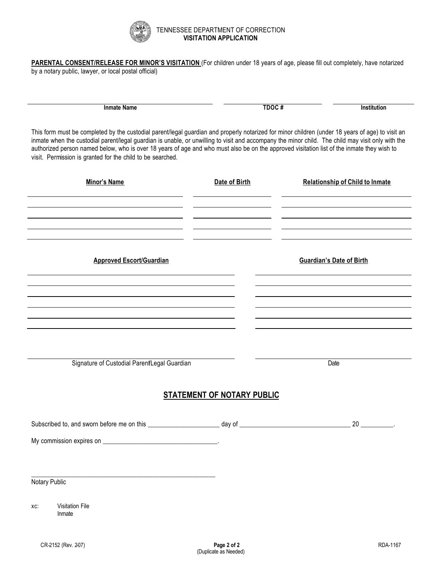

#### TENNESSEE DEPARTMENT OF CORRECTION **VISITATION APPLICATION**

**PARENTAL CONSENT/RELEASE FOR MINOR'S VISITATION** (For children under 18 years of age, please fill out completely, have notarized by a notary public, lawyer, or local postal official)

**Inmate Name TDOC # Institution**

This form must be completed by the custodial parent/legal guardian and properly notarized for minor children (under 18 years of age) to visit an inmate when the custodial parent/legal guardian is unable, or unwilling to visit and accompany the minor child. The child may visit only with the authorized person named below, who is over 18 years of age and who must also be on the approved visitation list of the inmate they wish to visit. Permission is granted for the child to be searched.

| Minor's Name                                 | Date of Birth                     | <b>Relationship of Child to Inmate</b> |
|----------------------------------------------|-----------------------------------|----------------------------------------|
|                                              |                                   |                                        |
|                                              |                                   |                                        |
|                                              |                                   |                                        |
| <b>Approved Escort/Guardian</b>              |                                   | <b>Guardian's Date of Birth</b>        |
|                                              |                                   |                                        |
|                                              |                                   |                                        |
|                                              |                                   |                                        |
|                                              |                                   |                                        |
|                                              |                                   |                                        |
| Signature of Custodial Parent/Legal Guardian |                                   | Date                                   |
|                                              | <b>STATEMENT OF NOTARY PUBLIC</b> |                                        |
|                                              |                                   |                                        |
|                                              |                                   |                                        |
|                                              |                                   |                                        |
|                                              |                                   |                                        |
|                                              |                                   |                                        |
| Notary Public                                |                                   |                                        |
| <b>Visitation File</b><br>XC:<br>Inmate      |                                   |                                        |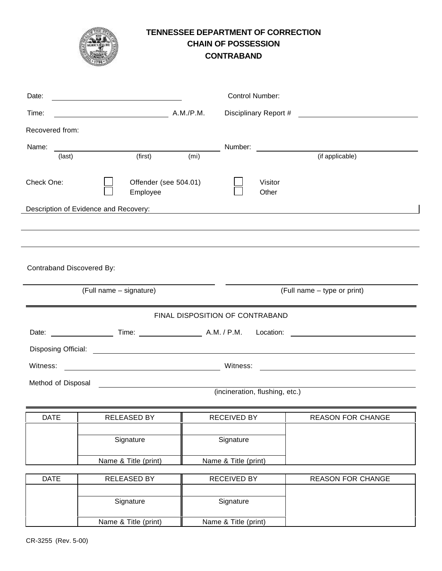# **TENNESSEE DEPARTMENT OF CORRECTION CHAIN OF POSSESSION CONTRABAND**

| Date:                     |                                       |                   |                                 | <b>Control Number:</b>         |                                                            |
|---------------------------|---------------------------------------|-------------------|---------------------------------|--------------------------------|------------------------------------------------------------|
| Time:                     | A.M./P.M.                             |                   |                                 | Disciplinary Report #          | <u> 1989 - Andrea State Barbara, amerikan per</u>          |
| Recovered from:           |                                       |                   |                                 |                                |                                                            |
| Name:                     |                                       |                   | Number:                         |                                | (if applicable)                                            |
| (last)                    | (first)                               | (m <sub>i</sub> ) |                                 |                                |                                                            |
| Check One:                | Offender (see 504.01)<br>Employee     |                   |                                 | Visitor<br>Other               |                                                            |
|                           | Description of Evidence and Recovery: |                   |                                 |                                | <u> 1980 - Johann John Stein, fransk politik (f. 1980)</u> |
|                           |                                       |                   |                                 |                                |                                                            |
|                           |                                       |                   |                                 |                                |                                                            |
| Contraband Discovered By: |                                       |                   |                                 |                                |                                                            |
|                           | (Full name - signature)               |                   |                                 |                                | (Full name - type or print)                                |
|                           |                                       |                   | FINAL DISPOSITION OF CONTRABAND |                                |                                                            |
|                           |                                       |                   |                                 |                                |                                                            |
|                           |                                       |                   |                                 |                                |                                                            |
|                           |                                       |                   |                                 |                                |                                                            |
| Witness:                  |                                       |                   | Witness:                        |                                |                                                            |
| Method of Disposal        |                                       |                   |                                 | (incineration, flushing, etc.) |                                                            |
|                           |                                       |                   |                                 |                                |                                                            |
| <b>DATE</b>               | <b>RELEASED BY</b>                    |                   | <b>RECEIVED BY</b>              |                                | <b>REASON FOR CHANGE</b>                                   |
|                           | Signature                             |                   | Signature                       |                                |                                                            |
|                           | Name & Title (print)                  |                   | Name & Title (print)            |                                |                                                            |
| <b>DATE</b>               | RELEASED BY                           |                   | <b>RECEIVED BY</b>              |                                | <b>REASON FOR CHANGE</b>                                   |
|                           | Signature                             |                   | Signature                       |                                |                                                            |
|                           | Name & Title (print)                  |                   | Name & Title (print)            |                                |                                                            |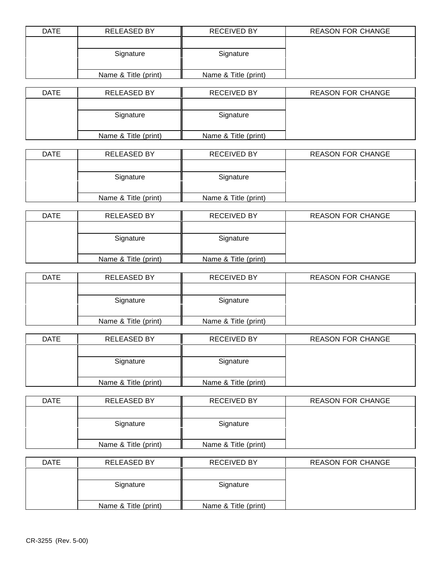| <b>DATE</b> | <b>RELEASED BY</b>   | <b>RECEIVED BY</b>   | <b>REASON FOR CHANGE</b> |
|-------------|----------------------|----------------------|--------------------------|
|             |                      |                      |                          |
|             | Signature            | Signature            |                          |
|             |                      |                      |                          |
|             | Name & Title (print) | Name & Title (print) |                          |

| <b>DATE</b> | <b>RELEASED BY</b>   | <b>RECEIVED BY</b>   | <b>REASON FOR CHANGE</b> |
|-------------|----------------------|----------------------|--------------------------|
|             |                      |                      |                          |
|             | Signature            | Signature            |                          |
|             |                      |                      |                          |
|             | Name & Title (print) | Name & Title (print) |                          |

| <b>DATE</b> | <b>RELEASED BY</b>   | <b>RECEIVED BY</b>   | <b>REASON FOR CHANGE</b> |
|-------------|----------------------|----------------------|--------------------------|
|             |                      |                      |                          |
|             | Signature            | Signature            |                          |
|             |                      |                      |                          |
|             | Name & Title (print) | Name & Title (print) |                          |

| <b>DATE</b> | <b>RELEASED BY</b>   | <b>RECEIVED BY</b>   | <b>REASON FOR CHANGE</b> |
|-------------|----------------------|----------------------|--------------------------|
|             |                      |                      |                          |
|             | Signature            | Signature            |                          |
|             |                      |                      |                          |
|             | Name & Title (print) | Name & Title (print) |                          |

| <b>DATE</b> | <b>RELEASED BY</b>   | <b>RECEIVED BY</b>   | <b>REASON FOR CHANGE</b> |
|-------------|----------------------|----------------------|--------------------------|
|             |                      |                      |                          |
|             | Signature            | Signature            |                          |
|             |                      |                      |                          |
|             | Name & Title (print) | Name & Title (print) |                          |

| <b>DATE</b> | <b>RELEASED BY</b>   | <b>RECEIVED BY</b>   | <b>REASON FOR CHANGE</b> |
|-------------|----------------------|----------------------|--------------------------|
|             |                      |                      |                          |
|             | Signature            | Signature            |                          |
|             |                      |                      |                          |
|             | Name & Title (print) | Name & Title (print) |                          |

| <b>DATE</b> | <b>RELEASED BY</b>   | <b>RECEIVED BY</b>   | <b>REASON FOR CHANGE</b> |
|-------------|----------------------|----------------------|--------------------------|
|             |                      |                      |                          |
|             | Signature            | Signature            |                          |
|             |                      |                      |                          |
|             | Name & Title (print) | Name & Title (print) |                          |

| <b>DATE</b> | <b>RELEASED BY</b>   | <b>RECEIVED BY</b>   | <b>REASON FOR CHANGE</b> |
|-------------|----------------------|----------------------|--------------------------|
|             |                      |                      |                          |
|             | Signature            | Signature            |                          |
|             |                      |                      |                          |
|             | Name & Title (print) | Name & Title (print) |                          |